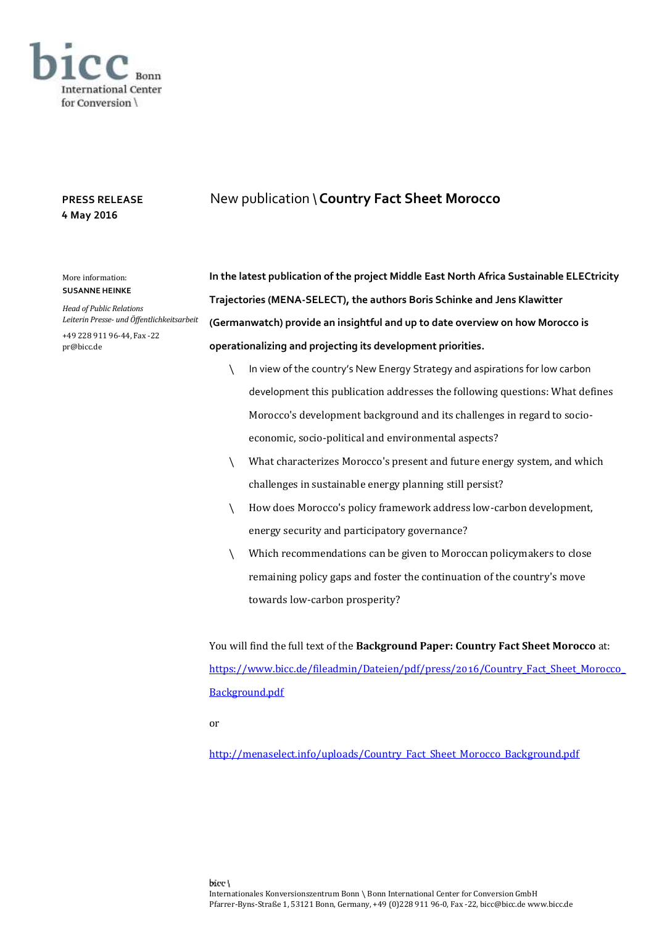

## **PRESS RELEASE 4 May 2016**

## More information: **SUSANNE HEINKE**

*Head of Public Relations Leiterin Presse- und Öffentlichkeitsarbeit*

+49 228 911 96-44, Fax -22 pr@bicc.de

**In the latest publication of the project Middle East North Africa Sustainable ELECtricity Trajectories (MENA-SELECT), the authors Boris Schinke and Jens Klawitter (Germanwatch) provide an insightful and up to date overview on how Morocco is operationalizing and projecting its development priorities.** 

New publication \**Country Fact Sheet Morocco**

- \ In view of the country's New Energy Strategy and aspirations for low carbon development this publication addresses the following questions: What defines Morocco's development background and its challenges in regard to socioeconomic, socio-political and environmental aspects?
- \ What characterizes Morocco's present and future energy system, and which challenges in sustainable energy planning still persist?
- \ How does Morocco's policy framework address low-carbon development, energy security and participatory governance?
- \ Which recommendations can be given to Moroccan policymakers to close remaining policy gaps and foster the continuation of the country's move towards low-carbon prosperity?

You will find the full text of the **Background Paper: Country Fact Sheet Morocco** at: [https://www.bicc.de/fileadmin/Dateien/pdf/press/2016/Country\\_Fact\\_Sheet\\_Morocco\\_](https://www.bicc.de/fileadmin/Dateien/pdf/press/2016/Country_Fact_Sheet_Morocco_Background.pdf) [Background.pdf](https://www.bicc.de/fileadmin/Dateien/pdf/press/2016/Country_Fact_Sheet_Morocco_Background.pdf)

or

[http://menaselect.info/uploads/Country\\_Fact\\_Sheet\\_Morocco\\_Background.pdf](http://menaselect.info/uploads/Country_Fact_Sheet_Morocco_Background.pdf)